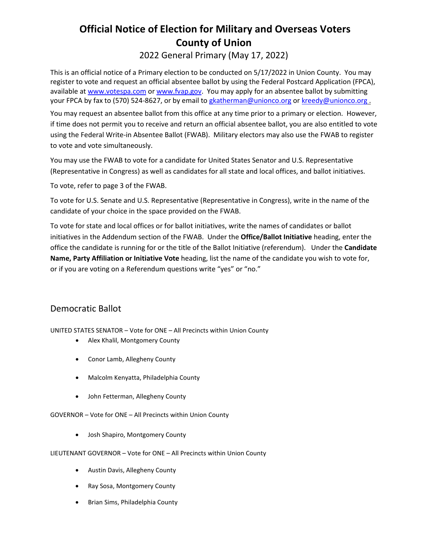# **Official Notice of Election for Military and Overseas Voters County of Union**

2022 General Primary (May 17, 2022)

This is an official notice of a Primary election to be conducted on 5/17/2022 in Union County. You may register to vote and request an official absentee ballot by using the Federal Postcard Application (FPCA), available a[t www.votespa.com](http://www.votespa.com/) or [www.fvap.gov.](https://www.fvap.gov/uploads/FVAP/Forms/fwab2013.pdf) You may apply for an absentee ballot by submitting your FPCA by fax to (570) 524-8627, or by email to [gkatherman@unionco.org](mailto:gkatherman@unionco.org) o[r kreedy@unionco.org](mailto:kreedy@unionco.org).

You may request an absentee ballot from this office at any time prior to a primary or election. However, if time does not permit you to receive and return an official absentee ballot, you are also entitled to vote using the Federal Write-in Absentee Ballot (FWAB). Military electors may also use the FWAB to register to vote and vote simultaneously.

You may use the FWAB to vote for a candidate for United States Senator and U.S. Representative (Representative in Congress) as well as candidates for all state and local offices, and ballot initiatives.

To vote, refer to page 3 of the FWAB.

To vote for U.S. Senate and U.S. Representative (Representative in Congress), write in the name of the candidate of your choice in the space provided on the FWAB.

To vote for state and local offices or for ballot initiatives, write the names of candidates or ballot initiatives in the Addendum section of the FWAB. Under the **Office/Ballot Initiative** heading, enter the office the candidate is running for or the title of the Ballot Initiative (referendum). Under the **Candidate Name, Party Affiliation or Initiative Vote** heading, list the name of the candidate you wish to vote for, or if you are voting on a Referendum questions write "yes" or "no."

# Democratic Ballot

UNITED STATES SENATOR – Vote for ONE – All Precincts within Union County

- Alex Khalil, Montgomery County
- Conor Lamb, Allegheny County
- Malcolm Kenyatta, Philadelphia County
- John Fetterman, Allegheny County

GOVERNOR – Vote for ONE – All Precincts within Union County

• Josh Shapiro, Montgomery County

#### LIEUTENANT GOVERNOR – Vote for ONE – All Precincts within Union County

- Austin Davis, Allegheny County
- Ray Sosa, Montgomery County
- Brian Sims, Philadelphia County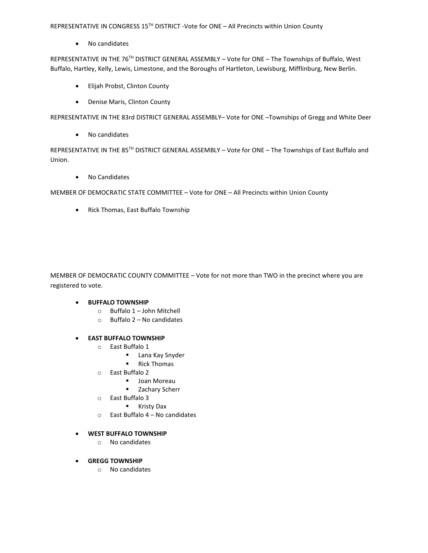REPRESENTATIVE IN CONGRESS 15TH DISTRICT -Vote for ONE - All Precincts within Union County

• No candidates

REPRESENTATIVE IN THE 76<sup>TH</sup> DISTRICT GENERAL ASSEMBLY - Vote for ONE - The Townships of Buffalo, West Buffalo, Hartley, Kelly, Lewis, Limestone, and the Boroughs of Hartleton, Lewisburg, Mifflinburg, New Berlin.

- Elijah Probst, Clinton County
- Denise Maris, Clinton County

REPRESENTATIVE IN THE 83rd DISTRICT GENERAL ASSEMBLY– Vote for ONE –Townships of Gregg and White Deer

• No candidates

REPRESENTATIVE IN THE 85<sup>TH</sup> DISTRICT GENERAL ASSEMBLY - Vote for ONE - The Townships of East Buffalo and Union.

• No Candidates

MEMBER OF DEMOCRATIC STATE COMMITTEE – Vote for ONE – All Precincts within Union County

• Rick Thomas, East Buffalo Township

MEMBER OF DEMOCRATIC COUNTY COMMITTEE – Vote for not more than TWO in the precinct where you are registered to vote.

- **BUFFALO TOWNSHIP**
	- o Buffalo 1 John Mitchell
	- o Buffalo 2 No candidates
- **EAST BUFFALO TOWNSHIP**
	- o East Buffalo 1
		- **Lana Kay Snyder**
		- Rick Thomas
	- o East Buffalo 2
		- **Joan Moreau**
		- **EXA** Zachary Scherr
	- o East Buffalo 3
		- **Kristy Dax**
	- o East Buffalo 4 No candidates

# • **WEST BUFFALO TOWNSHIP**

- o No candidates
- **GREGG TOWNSHIP**
	- o No candidates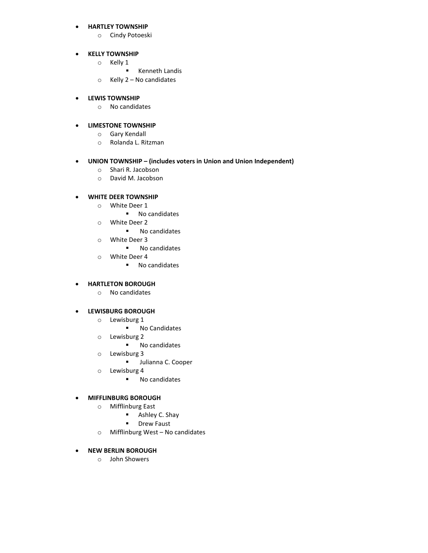#### • **HARTLEY TOWNSHIP**

o Cindy Potoeski

#### • **KELLY TOWNSHIP**

- o Kelly 1
	- **EXECUTE:** Kenneth Landis
- o Kelly 2 No candidates

#### • **LEWIS TOWNSHIP**

o No candidates

# • **LIMESTONE TOWNSHIP**

- o Gary Kendall
- o Rolanda L. Ritzman

# • **UNION TOWNSHIP – (includes voters in Union and Union Independent)**

- o Shari R. Jacobson
- o David M. Jacobson

#### • **WHITE DEER TOWNSHIP**

- o White Deer 1
	- No candidates
- o White Deer 2
	- **No candidates**
- o White Deer 3
	- **No candidates**
- o White Deer 4
	- No candidates

#### • **HARTLETON BOROUGH**

o No candidates

## • **LEWISBURG BOROUGH**

- o Lewisburg 1
	- **No Candidates**
- o Lewisburg 2
	- **No candidates**
- o Lewisburg 3
	- **Julianna C. Cooper**
- o Lewisburg 4
	- **No candidates**

#### • **MIFFLINBURG BOROUGH**

- o Mifflinburg East
	- **B** Ashley C. Shay
	- **P** Drew Faust
- o Mifflinburg West No candidates

# • **NEW BERLIN BOROUGH**

o John Showers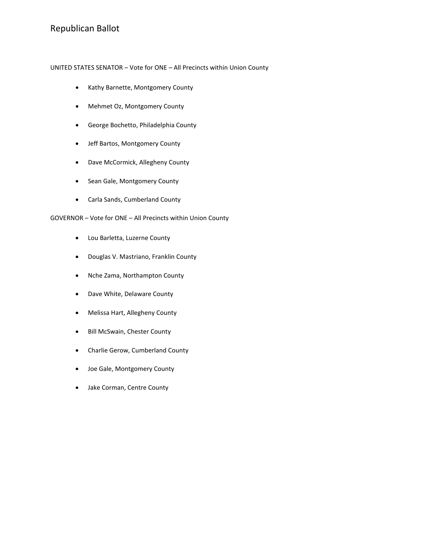UNITED STATES SENATOR – Vote for ONE – All Precincts within Union County

- Kathy Barnette, Montgomery County
- Mehmet Oz, Montgomery County
- George Bochetto, Philadelphia County
- Jeff Bartos, Montgomery County
- Dave McCormick, Allegheny County
- Sean Gale, Montgomery County
- Carla Sands, Cumberland County

GOVERNOR – Vote for ONE – All Precincts within Union County

- Lou Barletta, Luzerne County
- Douglas V. Mastriano, Franklin County
- Nche Zama, Northampton County
- Dave White, Delaware County
- Melissa Hart, Allegheny County
- Bill McSwain, Chester County
- Charlie Gerow, Cumberland County
- Joe Gale, Montgomery County
- Jake Corman, Centre County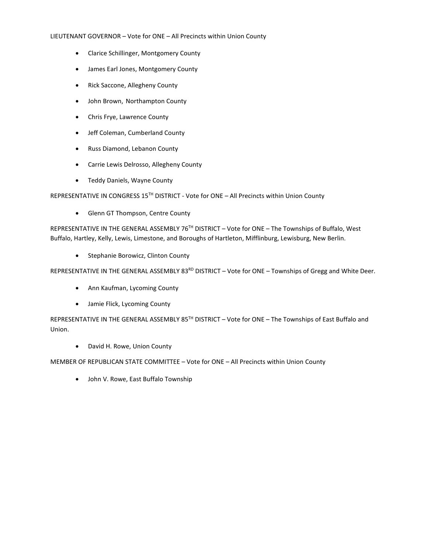#### LIEUTENANT GOVERNOR – Vote for ONE – All Precincts within Union County

- Clarice Schillinger, Montgomery County
- James Earl Jones, Montgomery County
- Rick Saccone, Allegheny County
- John Brown, Northampton County
- Chris Frye, Lawrence County
- Jeff Coleman, Cumberland County
- Russ Diamond, Lebanon County
- Carrie Lewis Delrosso, Allegheny County
- Teddy Daniels, Wayne County

REPRESENTATIVE IN CONGRESS 15<sup>TH</sup> DISTRICT - Vote for ONE - All Precincts within Union County

• Glenn GT Thompson, Centre County

REPRESENTATIVE IN THE GENERAL ASSEMBLY 76<sup>TH</sup> DISTRICT - Vote for ONE - The Townships of Buffalo, West Buffalo, Hartley, Kelly, Lewis, Limestone, and Boroughs of Hartleton, Mifflinburg, Lewisburg, New Berlin.

• Stephanie Borowicz, Clinton County

REPRESENTATIVE IN THE GENERAL ASSEMBLY 83<sup>RD</sup> DISTRICT – Vote for ONE – Townships of Gregg and White Deer.

- Ann Kaufman, Lycoming County
- Jamie Flick, Lycoming County

REPRESENTATIVE IN THE GENERAL ASSEMBLY 85<sup>TH</sup> DISTRICT - Vote for ONE - The Townships of East Buffalo and Union.

• David H. Rowe, Union County

MEMBER OF REPUBLICAN STATE COMMITTEE – Vote for ONE – All Precincts within Union County

• John V. Rowe, East Buffalo Township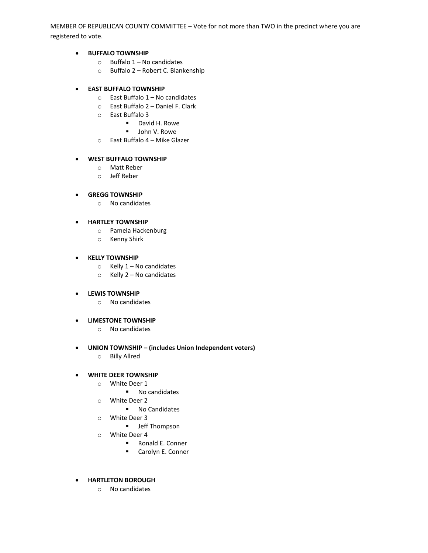MEMBER OF REPUBLICAN COUNTY COMMITTEE – Vote for not more than TWO in the precinct where you are registered to vote.

#### • **BUFFALO TOWNSHIP**

- $\circ$  Buffalo 1 No candidates
- o Buffalo 2 Robert C. Blankenship

#### • **EAST BUFFALO TOWNSHIP**

- $\circ$  East Buffalo 1 No candidates
- o East Buffalo 2 Daniel F. Clark
- o East Buffalo 3
	- David H. Rowe
	- **John V. Rowe**
- o East Buffalo 4 Mike Glazer

#### • **WEST BUFFALO TOWNSHIP**

- o Matt Reber
- o Jeff Reber

#### • **GREGG TOWNSHIP**

o No candidates

#### • **HARTLEY TOWNSHIP**

- o Pamela Hackenburg
- o Kenny Shirk

# • **KELLY TOWNSHIP**

- $\circ$  Kelly 1 No candidates
- o Kelly 2 No candidates

#### • **LEWIS TOWNSHIP**

o No candidates

#### • **LIMESTONE TOWNSHIP**

- o No candidates
- **UNION TOWNSHIP – (includes Union Independent voters)**
	- o Billy Allred

#### • **WHITE DEER TOWNSHIP**

- o White Deer 1
	- No candidates
- o White Deer 2
	- **No Candidates**
- o White Deer 3
	- **•** Jeff Thompson
- o White Deer 4
	- Ronald E. Conner
	- **E. Carolyn E. Conner**
- **HARTLETON BOROUGH**
	- o No candidates